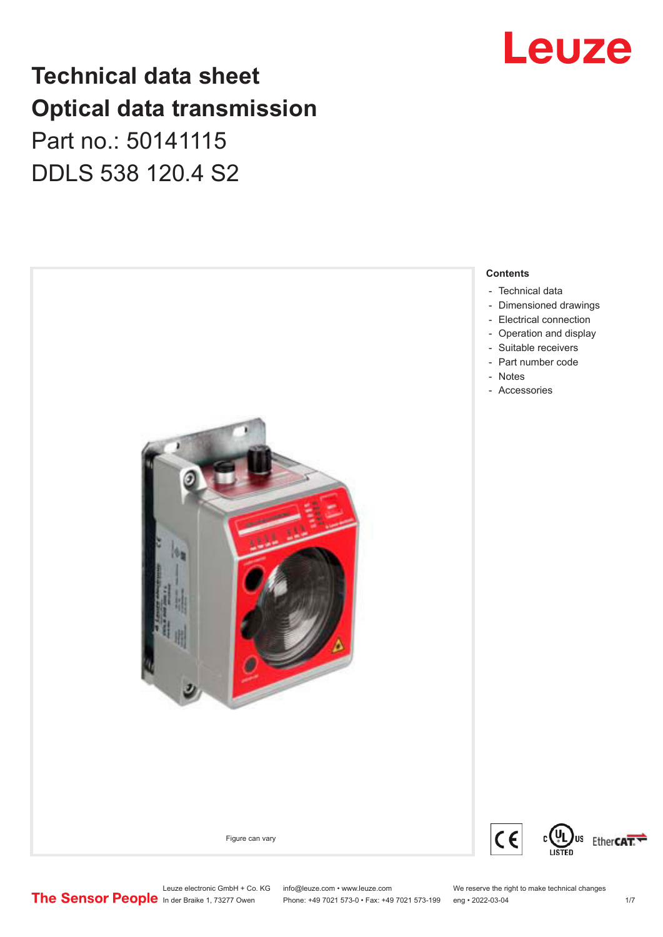## Leuze

### **Technical data sheet Optical data transmission**

Part no.: 50141115 DDLS 538 120.4 S2



Leuze electronic GmbH + Co. KG info@leuze.com • www.leuze.com We reserve the right to make technical changes<br>
The Sensor People in der Braike 1, 73277 Owen Phone: +49 7021 573-0 • Fax: +49 7021 573-199 eng • 2022-03-04

Phone: +49 7021 573-0 • Fax: +49 7021 573-199 eng • 2022-03-04 1 /7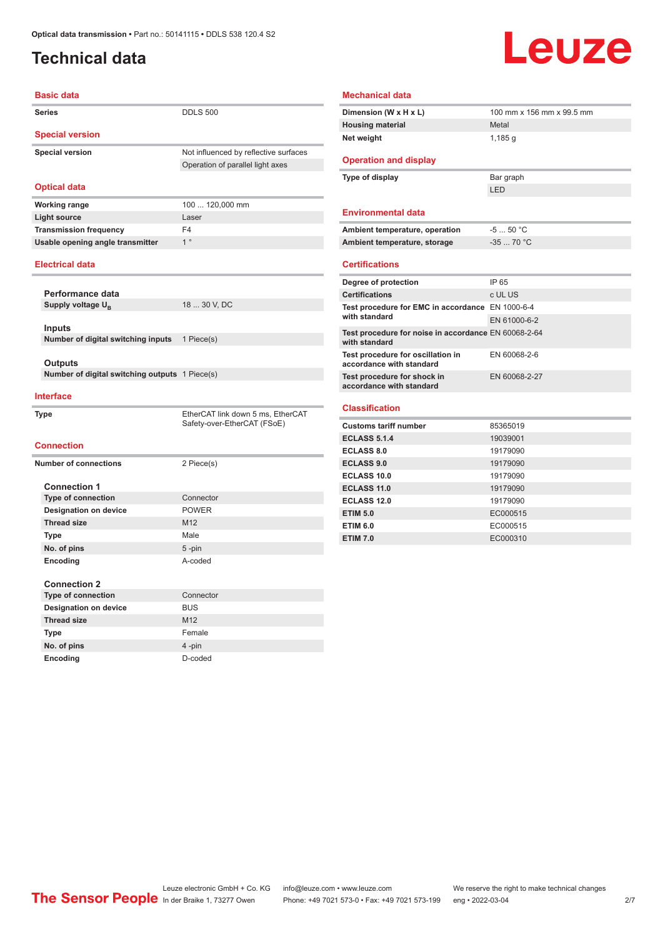### <span id="page-1-0"></span>**Technical data**

## Leuze

| <b>Basic data</b>                                   |                                                                  |
|-----------------------------------------------------|------------------------------------------------------------------|
| <b>Series</b>                                       | <b>DDLS 500</b>                                                  |
| <b>Special version</b>                              |                                                                  |
| <b>Special version</b>                              | Not influenced by reflective surfaces                            |
|                                                     | Operation of parallel light axes                                 |
|                                                     |                                                                  |
| <b>Optical data</b>                                 |                                                                  |
| <b>Working range</b>                                | 100  120,000 mm                                                  |
| <b>Light source</b>                                 | Laser                                                            |
| <b>Transmission frequency</b>                       | F4                                                               |
| Usable opening angle transmitter                    | 1 <sup>°</sup>                                                   |
| <b>Electrical data</b>                              |                                                                  |
|                                                     |                                                                  |
| Performance data                                    |                                                                  |
| Supply voltage U <sub>R</sub>                       | 18  30 V, DC                                                     |
|                                                     |                                                                  |
| <b>Inputs</b><br>Number of digital switching inputs | 1 Piece(s)                                                       |
|                                                     |                                                                  |
| Outputs                                             |                                                                  |
| Number of digital switching outputs 1 Piece(s)      |                                                                  |
| <b>Interface</b>                                    |                                                                  |
| <b>Type</b>                                         | EtherCAT link down 5 ms, EtherCAT<br>Safety-over-EtherCAT (FSoE) |
| <b>Connection</b>                                   |                                                                  |
| <b>Number of connections</b>                        | 2 Piece(s)                                                       |
|                                                     |                                                                  |
| <b>Connection 1</b>                                 |                                                                  |
| <b>Type of connection</b>                           | Connector                                                        |
| <b>Designation on device</b>                        | <b>POWER</b>                                                     |
| <b>Thread size</b>                                  | M12                                                              |
| <b>Type</b>                                         | Male                                                             |
| No. of pins                                         | $5 - pin$                                                        |
| Encoding                                            | A-coded                                                          |
| <b>Connection 2</b>                                 |                                                                  |
| <b>Type of connection</b>                           | Connector                                                        |
| <b>Designation on device</b>                        | <b>BUS</b>                                                       |
| <b>Thread size</b>                                  | M <sub>12</sub>                                                  |
| Type                                                | Female                                                           |
| No. of pins                                         | 4-pin                                                            |
| Encoding                                            | D-coded                                                          |
|                                                     |                                                                  |

| Dimension (W x H x L)                                                 | 100 mm x 156 mm x 99.5 mm |
|-----------------------------------------------------------------------|---------------------------|
| <b>Housing material</b>                                               | Metal                     |
| Net weight                                                            | 1,185q                    |
| <b>Operation and display</b>                                          |                           |
| Type of display                                                       | Bar graph                 |
|                                                                       | I FD                      |
| <b>Environmental data</b>                                             |                           |
| Ambient temperature, operation                                        | $-550 °C$                 |
| Ambient temperature, storage                                          | $-3570 °C$                |
| <b>Certifications</b>                                                 |                           |
| Degree of protection                                                  | IP 65                     |
| <b>Certifications</b>                                                 | c UL US                   |
| Test procedure for EMC in accordance EN 1000-6-4                      |                           |
| with standard                                                         | EN 61000-6-2              |
| Test procedure for noise in accordance EN 60068-2-64<br>with standard |                           |
| Test procedure for oscillation in<br>accordance with standard         | EN 60068-2-6              |
| Test procedure for shock in<br>accordance with standard               | EN 60068-2-27             |
| <b>Classification</b>                                                 |                           |
| <b>Customs tariff number</b>                                          | 85365019                  |
| <b>ECLASS 5.1.4</b>                                                   | 19039001                  |
| <b>ECLASS 8.0</b>                                                     | 19179090                  |
| <b>ECLASS 9.0</b>                                                     | 19179090                  |
| <b>ECLASS 10.0</b>                                                    | 19179090                  |
| ECLASS 11.0                                                           | 19179090                  |
| ECLASS 12.0                                                           | 19179090                  |
| <b>ETIM 5.0</b>                                                       | EC000515                  |
| <b>ETIM 6.0</b>                                                       | EC000515                  |
|                                                                       |                           |

Leuze electronic GmbH + Co. KG info@leuze.com • www.leuze.com We reserve the right to make technical changes ln der Braike 1, 73277 Owen Phone: +49 7021 573-0 • Fax: +49 7021 573-199 eng • 2022-03-04 2/7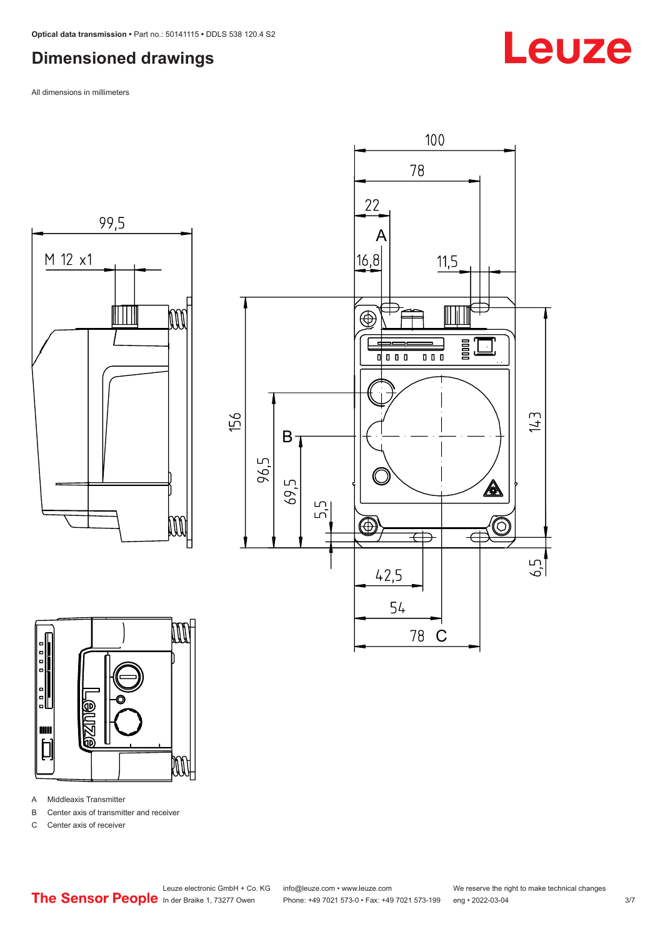#### <span id="page-2-0"></span>**Dimensioned drawings**

All dimensions in millimeters







A Middleaxis Transmitter

B Center axis of transmitter and receiver

C Center axis of receiver

Leuze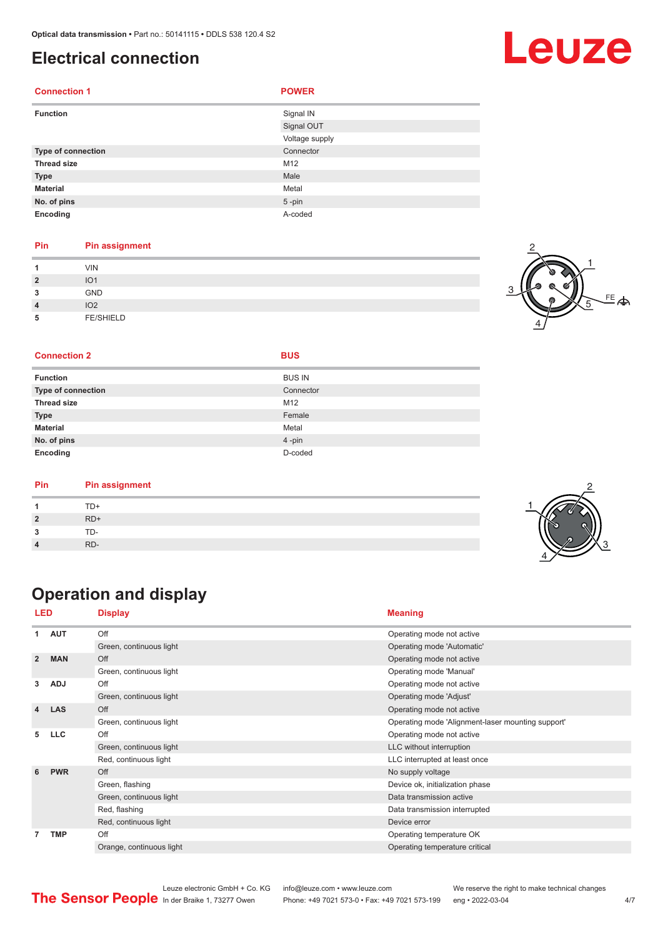#### <span id="page-3-0"></span>**Electrical connection**

| <b>Connection 1</b> | <b>POWER</b>   |
|---------------------|----------------|
| <b>Function</b>     | Signal IN      |
|                     | Signal OUT     |
|                     | Voltage supply |
| Type of connection  | Connector      |
| <b>Thread size</b>  | M12            |
| <b>Type</b>         | Male           |
| <b>Material</b>     | Metal          |
| No. of pins         | $5$ -pin       |
| Encoding            | A-coded        |

#### **Pin Pin assignment**

| и              | VIN              |  |
|----------------|------------------|--|
| $\overline{2}$ | IO <sub>1</sub>  |  |
| 3              | GND              |  |
| $\overline{4}$ | IO <sub>2</sub>  |  |
| 5              | <b>FE/SHIELD</b> |  |



#### **Connection 2 BUS**

|  |  | I |
|--|--|---|
|  |  |   |

| <b>Function</b>           | <b>BUS IN</b> |
|---------------------------|---------------|
| <b>Type of connection</b> | Connector     |
| <b>Thread size</b>        | M12           |
| <b>Type</b>               | Female        |
| <b>Material</b>           | Metal         |
| No. of pins               | 4-pin         |
| Encoding                  | D-coded       |

| Pin | <b>Pin assignment</b> |
|-----|-----------------------|
|     | TD+                   |
|     | $RD+$                 |
|     | TD-                   |
|     | RD-                   |

### **Operation and display**

| LED                     |            | <b>Display</b>           | <b>Meaning</b>                                    |
|-------------------------|------------|--------------------------|---------------------------------------------------|
| 1                       | <b>AUT</b> | Off                      | Operating mode not active                         |
|                         |            | Green, continuous light  | Operating mode 'Automatic'                        |
| $\overline{2}$          | <b>MAN</b> | Off                      | Operating mode not active                         |
|                         |            | Green, continuous light  | Operating mode 'Manual'                           |
| 3                       | <b>ADJ</b> | Off                      | Operating mode not active                         |
|                         |            | Green, continuous light  | Operating mode 'Adjust'                           |
| $\overline{\mathbf{4}}$ | <b>LAS</b> | Off                      | Operating mode not active                         |
|                         |            | Green, continuous light  | Operating mode 'Alignment-laser mounting support' |
| 5                       | <b>LLC</b> | Off                      | Operating mode not active                         |
|                         |            | Green, continuous light  | LLC without interruption                          |
|                         |            | Red, continuous light    | LLC interrupted at least once                     |
| 6                       | <b>PWR</b> | Off                      | No supply voltage                                 |
|                         |            | Green, flashing          | Device ok, initialization phase                   |
|                         |            | Green, continuous light  | Data transmission active                          |
|                         |            | Red, flashing            | Data transmission interrupted                     |
|                         |            | Red, continuous light    | Device error                                      |
| 7                       | <b>TMP</b> | Off                      | Operating temperature OK                          |
|                         |            | Orange, continuous light | Operating temperature critical                    |

## Leuze

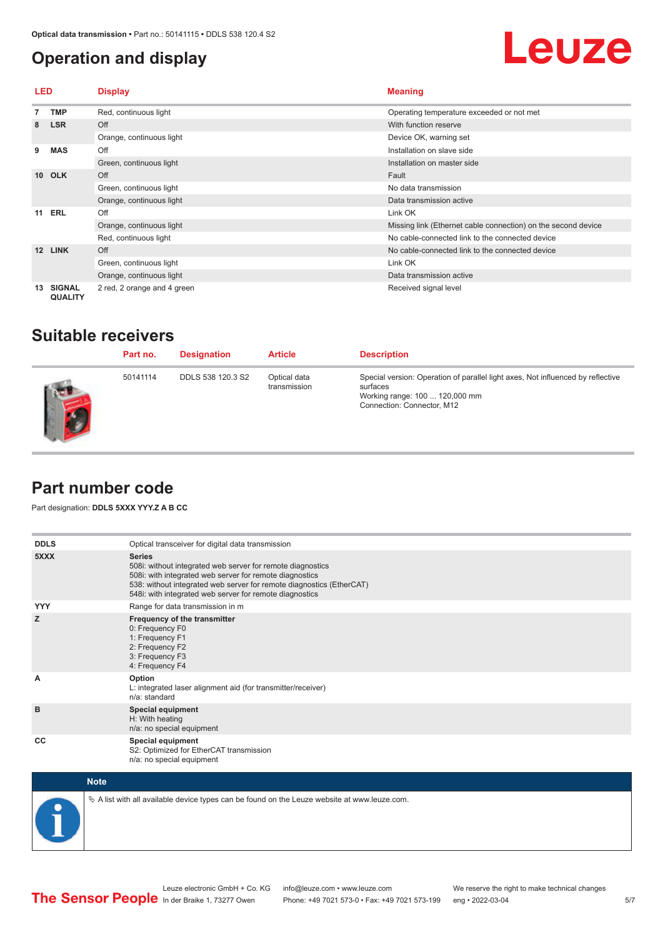#### <span id="page-4-0"></span>**Operation and display**

## Leuze

| LED             |                                 | <b>Display</b>              | <b>Meaning</b>                                                |
|-----------------|---------------------------------|-----------------------------|---------------------------------------------------------------|
|                 | <b>TMP</b>                      | Red, continuous light       | Operating temperature exceeded or not met                     |
| 8               | <b>LSR</b>                      | Off                         | With function reserve                                         |
|                 |                                 | Orange, continuous light    | Device OK, warning set                                        |
| 9               | <b>MAS</b>                      | Off                         | Installation on slave side                                    |
|                 |                                 | Green, continuous light     | Installation on master side                                   |
| 10 <sup>1</sup> | <b>OLK</b>                      | Off                         | Fault                                                         |
|                 |                                 | Green, continuous light     | No data transmission                                          |
|                 |                                 | Orange, continuous light    | Data transmission active                                      |
|                 | <b>11 ERL</b>                   | Off                         | Link OK                                                       |
|                 |                                 | Orange, continuous light    | Missing link (Ethernet cable connection) on the second device |
|                 |                                 | Red, continuous light       | No cable-connected link to the connected device               |
| 12              | <b>LINK</b>                     | Off                         | No cable-connected link to the connected device               |
|                 |                                 | Green, continuous light     | Link OK                                                       |
|                 |                                 | Orange, continuous light    | Data transmission active                                      |
| 13              | <b>SIGNAL</b><br><b>QUALITY</b> | 2 red, 2 orange and 4 green | Received signal level                                         |

#### **Suitable receivers**

| Part no. | <b>Designation</b> | <b>Article</b>               | <b>Description</b>                                                                                                                                          |
|----------|--------------------|------------------------------|-------------------------------------------------------------------------------------------------------------------------------------------------------------|
| 50141114 | DDLS 538 120.3 S2  | Optical data<br>transmission | Special version: Operation of parallel light axes, Not influenced by reflective<br>surfaces<br>Working range: 100  120,000 mm<br>Connection: Connector, M12 |

#### **Part number code**

Part designation: **DDLS 5XXX YYY.Z A B CC**

| <b>DDLS</b> | Optical transceiver for digital data transmission                                                                                                                                                                                                                         |
|-------------|---------------------------------------------------------------------------------------------------------------------------------------------------------------------------------------------------------------------------------------------------------------------------|
| 5XXX        | <b>Series</b><br>508i: without integrated web server for remote diagnostics<br>508i: with integrated web server for remote diagnostics<br>538: without integrated web server for remote diagnostics (EtherCAT)<br>548i: with integrated web server for remote diagnostics |
| <b>YYY</b>  | Range for data transmission in m                                                                                                                                                                                                                                          |
| z           | Frequency of the transmitter<br>0: Frequency F0<br>1: Frequency F1<br>2: Frequency F2<br>3: Frequency F3<br>4: Frequency F4                                                                                                                                               |
| A           | Option<br>L: integrated laser alignment aid (for transmitter/receiver)<br>n/a: standard                                                                                                                                                                                   |
| B           | <b>Special equipment</b><br>H: With heating<br>n/a: no special equipment                                                                                                                                                                                                  |
| CC          | Special equipment<br>S2: Optimized for EtherCAT transmission<br>n/a: no special equipment                                                                                                                                                                                 |



 $\&$  A list with all available device types can be found on the Leuze website at www.leuze.com.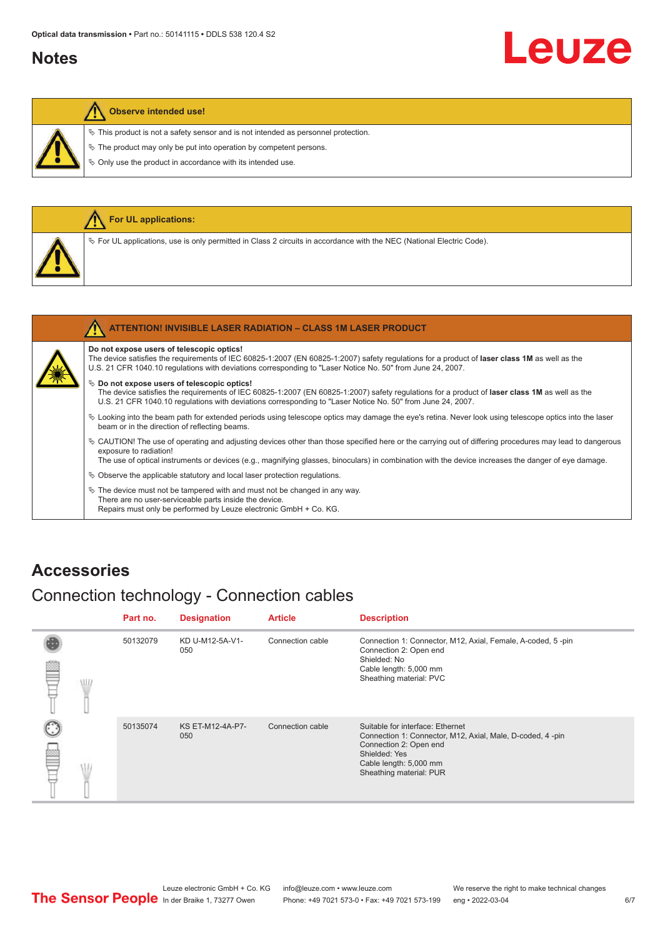#### <span id="page-5-0"></span>**Notes**

# Leuze

#### **Observe intended use!**

 $\%$  This product is not a safety sensor and is not intended as personnel protection.

 $\&$  The product may only be put into operation by competent persons.

 $\%$  Only use the product in accordance with its intended use.

|  | For UL applications:                                                                                                                                                                                                                                                                                     |
|--|----------------------------------------------------------------------------------------------------------------------------------------------------------------------------------------------------------------------------------------------------------------------------------------------------------|
|  | $\%$ For UL applications, use is only permitted in Class 2 circuits in accordance with the NEC (National Electric Code).                                                                                                                                                                                 |
|  |                                                                                                                                                                                                                                                                                                          |
|  | <b>ATTENTION! INVISIBLE LASER RADIATION - CLASS 1M LASER PRODUCT</b>                                                                                                                                                                                                                                     |
|  | Do not expose users of telescopic optics!<br>The device satisfies the requirements of IEC 60825-1:2007 (EN 60825-1:2007) safety regulations for a product of laser class 1M as well as the<br>U.S. 21 CFR 1040.10 regulations with deviations corresponding to "Laser Notice No. 50" from June 24, 2007. |

#### ª **Do not expose users of telescopic optics!**

The device satisfies the requirements of IEC 60825-1:2007 (EN 60825-1:2007) safety regulations for a product of **laser class 1M** as well as the U.S. 21 CFR 1040.10 regulations with deviations corresponding to "Laser Notice No. 50" from June 24, 2007.

- ª Looking into the beam path for extended periods using telescope optics may damage the eye's retina. Never look using telescope optics into the laser beam or in the direction of reflecting beams.
- ª CAUTION! The use of operating and adjusting devices other than those specified here or the carrying out of differing procedures may lead to dangerous exposure to radiation!

The use of optical instruments or devices (e.g., magnifying glasses, binoculars) in combination with the device increases the danger of eye damage.

 $\%$  Observe the applicable statutory and local laser protection regulations.

 $\%$  The device must not be tampered with and must not be changed in any way. There are no user-serviceable parts inside the device. Repairs must only be performed by Leuze electronic GmbH + Co. KG.

#### **Accessories**

#### Connection technology - Connection cables

|   | Part no. | <b>Designation</b>      | <b>Article</b>   | <b>Description</b>                                                                                                                                                                            |
|---|----------|-------------------------|------------------|-----------------------------------------------------------------------------------------------------------------------------------------------------------------------------------------------|
| W | 50132079 | KD U-M12-5A-V1-<br>050  | Connection cable | Connection 1: Connector, M12, Axial, Female, A-coded, 5-pin<br>Connection 2: Open end<br>Shielded: No<br>Cable length: 5,000 mm<br>Sheathing material: PVC                                    |
|   | 50135074 | KS ET-M12-4A-P7-<br>050 | Connection cable | Suitable for interface: Ethernet<br>Connection 1: Connector, M12, Axial, Male, D-coded, 4-pin<br>Connection 2: Open end<br>Shielded: Yes<br>Cable length: 5,000 mm<br>Sheathing material: PUR |